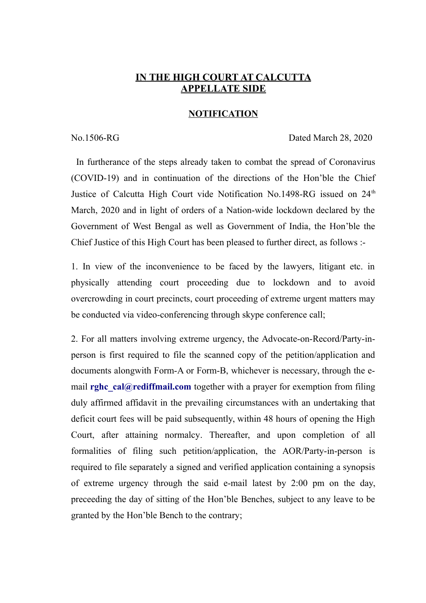## **IN THE HIGH COURT AT CALCUTTA APPELLATE SIDE**

## **NOTIFICATION**

No.1506-RG Dated March 28, 2020

In furtherance of the steps already taken to combat the spread of Coronavirus (COVID-19) and in continuation of the directions of the Hon'ble the Chief Justice of Calcutta High Court vide Notification No.1498-RG issued on 24<sup>th</sup> March, 2020 and in light of orders of a Nation-wide lockdown declared by the Government of West Bengal as well as Government of India, the Hon'ble the Chief Justice of this High Court has been pleased to further direct, as follows :-

1. In view of the inconvenience to be faced by the lawyers, litigant etc. in physically attending court proceeding due to lockdown and to avoid overcrowding in court precincts, court proceeding of extreme urgent matters may be conducted via video-conferencing through skype conference call;

2. For all matters involving extreme urgency, the Advocate-on-Record/Party-inperson is first required to file the scanned copy of the petition/application and documents alongwith Form-A or Form-B, whichever is necessary, through the email **[rghc\\_cal@rediffmail.com](mailto:rghc_cal@rediffmail.com)** together with a prayer for exemption from filing duly affirmed affidavit in the prevailing circumstances with an undertaking that deficit court fees will be paid subsequently, within 48 hours of opening the High Court, after attaining normalcy. Thereafter, and upon completion of all formalities of filing such petition/application, the AOR/Party-in-person is required to file separately a signed and verified application containing a synopsis of extreme urgency through the said e-mail latest by 2:00 pm on the day, preceeding the day of sitting of the Hon'ble Benches, subject to any leave to be granted by the Hon'ble Bench to the contrary;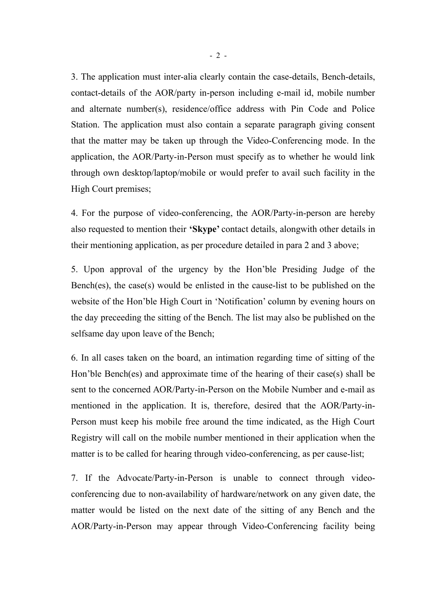3. The application must inter-alia clearly contain the case-details, Bench-details, contact-details of the AOR/party in-person including e-mail id, mobile number and alternate number(s), residence/office address with Pin Code and Police Station. The application must also contain a separate paragraph giving consent that the matter may be taken up through the Video-Conferencing mode. In the application, the AOR/Party-in-Person must specify as to whether he would link through own desktop/laptop/mobile or would prefer to avail such facility in the High Court premises;

4. For the purpose of video-conferencing, the AOR/Party-in-person are hereby also requested to mention their **'Skype'** contact details, alongwith other details in their mentioning application, as per procedure detailed in para 2 and 3 above;

5. Upon approval of the urgency by the Hon'ble Presiding Judge of the Bench(es), the case(s) would be enlisted in the cause-list to be published on the website of the Hon'ble High Court in 'Notification' column by evening hours on the day preceeding the sitting of the Bench. The list may also be published on the selfsame day upon leave of the Bench;

6. In all cases taken on the board, an intimation regarding time of sitting of the Hon'ble Bench(es) and approximate time of the hearing of their case(s) shall be sent to the concerned AOR/Party-in-Person on the Mobile Number and e-mail as mentioned in the application. It is, therefore, desired that the AOR/Party-in-Person must keep his mobile free around the time indicated, as the High Court Registry will call on the mobile number mentioned in their application when the matter is to be called for hearing through video-conferencing, as per cause-list;

7. If the Advocate/Party-in-Person is unable to connect through videoconferencing due to non-availability of hardware/network on any given date, the matter would be listed on the next date of the sitting of any Bench and the AOR/Party-in-Person may appear through Video-Conferencing facility being